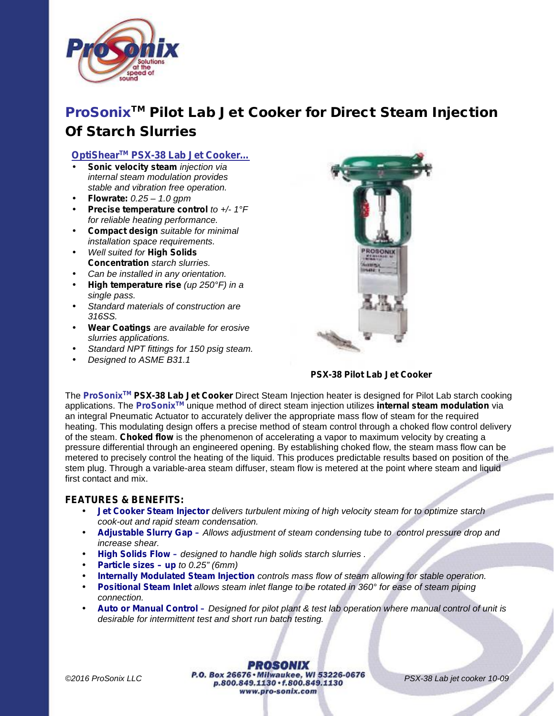

# *ProSonixTM Pilot Lab Jet Cooker for Direct Steam Injection Of Starch Slurries*

# *OptiShearTM PSX-38 Lab Jet Cooker…*

- *Sonic velocity steam injection via internal steam modulation provides stable and vibration free operation.*
- *Flowrate: 0.25 – 1.0 gpm*
- *Precise temperature control to +/- 1°F for reliable heating performance.*
- *Compact design suitable for minimal installation space requirements.*
- *Well suited for High Solids Concentration starch slurries.*
- *Can be installed in any orientation.*
- *High temperature rise (up 250°F) in a single pass.*
- *Standard materials of construction are 316SS.*
- *Wear Coatings are available for erosive slurries applications.*
- *Standard NPT fittings for 150 psig steam.*
- *Designed to ASME B31.1*



*PSX-38 Pilot Lab Jet Cooker*

The *ProSonixTM PSX-38 Lab Jet Cooker* Direct Steam Injection heater is designed for Pilot Lab starch cooking applications. The *ProSonixTM* unique method of direct steam injection utilizes *internal steam modulation* via an integral Pneumatic Actuator to accurately deliver the appropriate mass flow of steam for the required heating. This modulating design offers a precise method of steam control through a choked flow control delivery of the steam. *Choked flow* is the phenomenon of accelerating a vapor to maximum velocity by creating a pressure differential through an engineered opening. By establishing choked flow, the steam mass flow can be metered to precisely control the heating of the liquid. This produces predictable results based on position of the stem plug. Through a variable-area steam diffuser, steam flow is metered at the point where steam and liquid first contact and mix.

## *FEATURES & BENEFITS:*

- *Jet Cooker Steam Injector delivers turbulent mixing of high velocity steam for to optimize starch cook-out and rapid steam condensation.*
- *Adjustable Slurry Gap – Allows adjustment of steam condensing tube to control pressure drop and increase shear.*
- *High Solids Flow – designed to handle high solids starch slurries .*
- *Particle sizes – up to 0.25" (6mm)*
- *Internally Modulated Steam Injection controls mass flow of steam allowing for stable operation.*
- *Positional Steam Inlet allows steam inlet flange to be rotated in 360° for ease of steam piping connection.*
- *Auto or Manual Control – Designed for pilot plant & test lab operation where manual control of unit is desirable for intermittent test and short run batch testing.*

**PROSONIX** *C2016 ProSonix LLC* **P.O. Box 26676 • Milwaukee, WI 53226-0676** *PSX-38 Lab jet cooker 10-09* **p.800.849.1130 • f.800.849.1130** www.pro-sonix.com